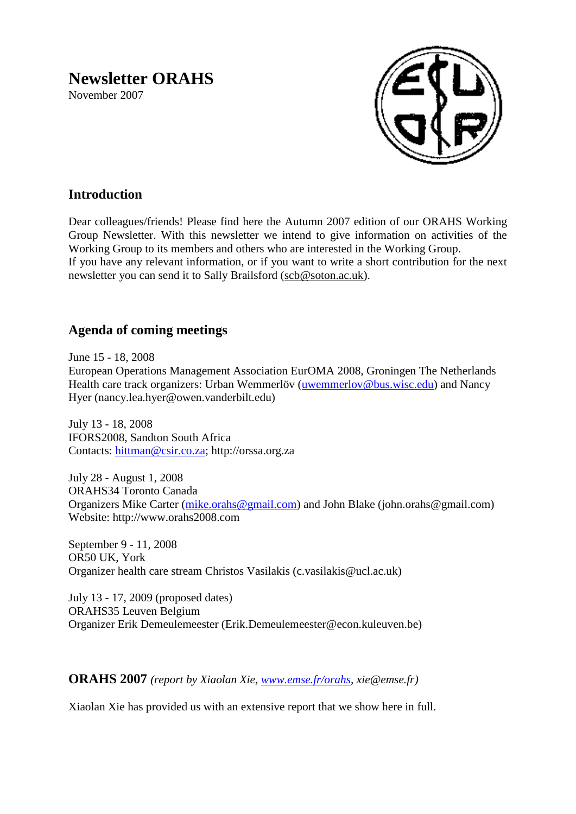# **Newsletter ORAHS**

November 2007



# **Introduction**

Dear colleagues/friends! Please find here the Autumn 2007 edition of our ORAHS Working Group Newsletter. With this newsletter we intend to give information on activities of the Working Group to its members and others who are interested in the Working Group. If you have any relevant information, or if you want to write a short contribution for the next newsletter you can send it to Sally Brailsford [\(scb@soton.ac.uk\)](mailto:scb@soton.ac.uk).

# **Agenda of coming meetings**

June 15 - 18, 2008 European Operations Management Association EurOMA 2008, Groningen The Netherlands Health care track organizers: Urban Wemmerlöv [\(uwemmerlov@bus.wisc.edu\)](mailto:uwemmerlov@bus.wisc.edu) and Nancy Hyer (nancy.lea.hyer@owen.vanderbilt.edu)

July 13 - 18, 2008 IFORS2008, Sandton South Africa Contacts: [hittman@csir.co.za;](mailto:hittman@csir.co.za) http://orssa.org.za

July 28 - August 1, 2008 ORAHS34 Toronto Canada Organizers Mike Carter [\(mike.orahs@gmail.com\)](mailto:mike.orahs@gmail.com) and John Blake (john.orahs@gmail.com) Website: http://www.orahs2008.com

September 9 - 11, 2008 OR50 UK, York Organizer health care stream Christos Vasilakis (c.vasilakis@ucl.ac.uk)

July 13 - 17, 2009 (proposed dates) ORAHS35 Leuven Belgium Organizer Erik Demeulemeester (Erik.Demeulemeester@econ.kuleuven.be)

**ORAHS 2007** *(report by Xiaolan Xie, [www.emse.fr/orahs,](http://www.emse.fr/orahs) xie@emse.fr)*

Xiaolan Xie has provided us with an extensive report that we show here in full.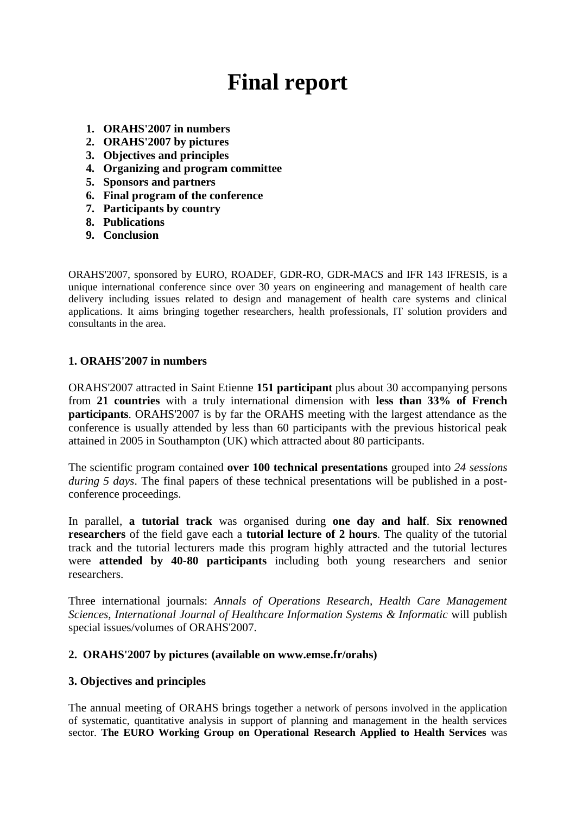# **Final report**

- **1. ORAHS'2007 in numbers**
- **2. ORAHS'2007 by pictures**
- **3. Objectives and principles**
- **4. Organizing and program committee**
- **5. Sponsors and partners**
- **6. Final program of the conference**
- **7. Participants by country**
- **8. Publications**
- **9. Conclusion**

ORAHS'2007, sponsored by EURO, ROADEF, GDR-RO, GDR-MACS and IFR 143 IFRESIS, is a unique international conference since over 30 years on engineering and management of health care delivery including issues related to design and management of health care systems and clinical applications. It aims bringing together researchers, health professionals, IT solution providers and consultants in the area.

#### **1. ORAHS'2007 in numbers**

ORAHS'2007 attracted in Saint Etienne **151 participant** plus about 30 accompanying persons from **21 countries** with a truly international dimension with **less than 33% of French participants**. ORAHS'2007 is by far the ORAHS meeting with the largest attendance as the conference is usually attended by less than 60 participants with the previous historical peak attained in 2005 in Southampton (UK) which attracted about 80 participants.

The scientific program contained **over 100 technical presentations** grouped into *24 sessions during 5 days*. The final papers of these technical presentations will be published in a postconference proceedings.

In parallel, **a tutorial track** was organised during **one day and half**. **Six renowned researchers** of the field gave each a **tutorial lecture of 2 hours**. The quality of the tutorial track and the tutorial lecturers made this program highly attracted and the tutorial lectures were **attended by 40-80 participants** including both young researchers and senior researchers.

Three international journals: *Annals of Operations Research, Health Care Management Sciences, International Journal of Healthcare Information Systems & Informatic* will publish special issues/volumes of ORAHS'2007.

#### **2. ORAHS'2007 by pictures (available on www.emse.fr/orahs)**

#### **3. Objectives and principles**

The annual meeting of ORAHS brings together a network of persons involved in the application of systematic, quantitative analysis in support of planning and management in the health services sector. **The EURO Working Group on Operational Research Applied to Health Services** was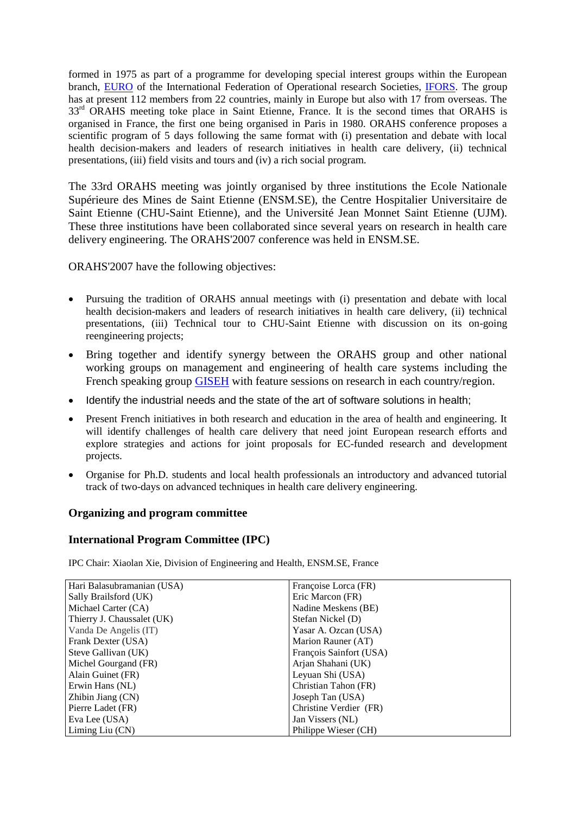formed in 1975 as part of a programme for developing special interest groups within the European branch, [EURO](http://www.ulb.ac.be/euro/) of the International Federation of Operational research Societies, [IFORS.](http://www.orsoc.org.uk/) The group has at present 112 members from 22 countries, mainly in Europe but also with 17 from overseas. The 33<sup>rd</sup> ORAHS meeting toke place in Saint Etienne, France. It is the second times that ORAHS is organised in France, the first one being organised in Paris in 1980. ORAHS conference proposes a scientific program of 5 days following the same format with (i) presentation and debate with local health decision-makers and leaders of research initiatives in health care delivery, (ii) technical presentations, (iii) field visits and tours and (iv) a rich social program.

The 33rd ORAHS meeting was jointly organised by three institutions the Ecole Nationale Supérieure des Mines de Saint Etienne (ENSM.SE), the Centre Hospitalier Universitaire de Saint Etienne (CHU-Saint Etienne), and the Université Jean Monnet Saint Etienne (UJM). These three institutions have been collaborated since several years on research in health care delivery engineering. The ORAHS'2007 conference was held in ENSM.SE.

ORAHS'2007 have the following objectives:

- Pursuing the tradition of ORAHS annual meetings with (i) presentation and debate with local health decision-makers and leaders of research initiatives in health care delivery, (ii) technical presentations, (iii) Technical tour to CHU-Saint Etienne with discussion on its on-going reengineering projects;
- Bring together and identify synergy between the ORAHS group and other national working groups on management and engineering of health care systems including the French speaking group [GISEH](http://www.tudor.lu/giseh06) with feature sessions on research in each country/region.
- Identify the industrial needs and the state of the art of software solutions in health;
- Present French initiatives in both research and education in the area of health and engineering. It will identify challenges of health care delivery that need joint European research efforts and explore strategies and actions for joint proposals for EC-funded research and development projects.
- Organise for Ph.D. students and local health professionals an introductory and advanced tutorial track of two-days on advanced techniques in health care delivery engineering.

#### **Organizing and program committee**

#### **International Program Committee (IPC)**

IPC Chair: Xiaolan Xie, Division of Engineering and Health, ENSM.SE, France

| Hari Balasubramanian (USA) | Françoise Lorca (FR)    |
|----------------------------|-------------------------|
| Sally Brailsford (UK)      | Eric Marcon (FR)        |
| Michael Carter (CA)        | Nadine Meskens (BE)     |
| Thierry J. Chaussalet (UK) | Stefan Nickel (D)       |
| Vanda De Angelis (IT)      | Yasar A. Ozcan (USA)    |
| Frank Dexter (USA)         | Marion Rauner (AT)      |
| Steve Gallivan (UK)        | François Sainfort (USA) |
| Michel Gourgand (FR)       | Arjan Shahani (UK)      |
| Alain Guinet (FR)          | Leyuan Shi (USA)        |
| Erwin Hans (NL)            | Christian Tahon (FR)    |
| Zhibin Jiang $(CN)$        | Joseph Tan (USA)        |
| Pierre Ladet (FR)          | Christine Verdier (FR)  |
| Eva Lee (USA)              | Jan Vissers (NL)        |
| Liming Liu $(CN)$          | Philippe Wieser (CH)    |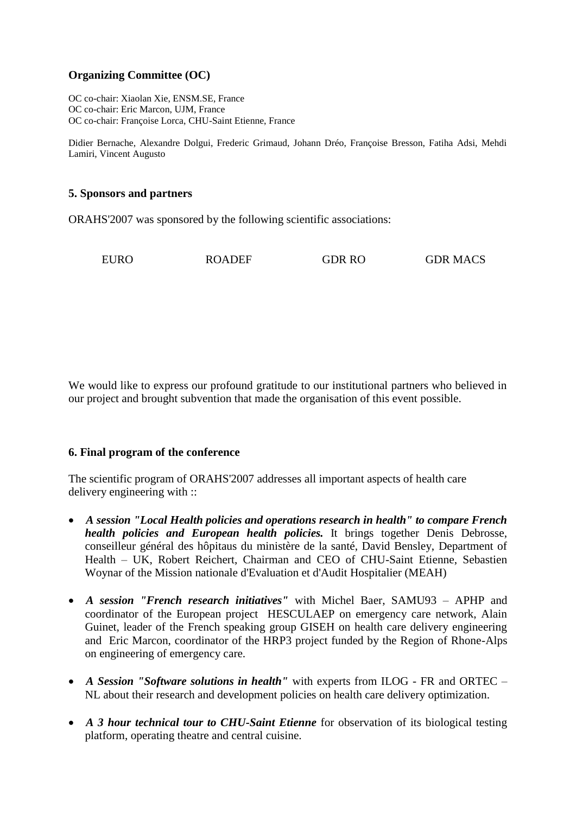#### **Organizing Committee (OC)**

OC co-chair: Xiaolan Xie, ENSM.SE, France OC co-chair: Eric Marcon, UJM, France OC co-chair: Françoise Lorca, CHU-Saint Etienne, France

Didier Bernache, Alexandre Dolgui, Frederic Grimaud, Johann Dréo, Françoise Bresson, Fatiha Adsi, Mehdi Lamiri, Vincent Augusto

#### **5. Sponsors and partners**

ORAHS'2007 was sponsored by the following scientific associations:

| <b>ROADEF</b> | <b>GDR MACS</b> |
|---------------|-----------------|
| <b>EURO</b>   | <b>GDR RO</b>   |

We would like to express our profound gratitude to our institutional partners who believed in our project and brought subvention that made the organisation of this event possible.

#### **6. Final program of the conference**

The scientific program of ORAHS'2007 addresses all important aspects of health care delivery engineering with ::

- *A session "Local Health policies and operations research in health" to compare French health policies and European health policies.* It brings together Denis Debrosse, conseilleur général des hôpitaus du ministère de la santé, David Bensley, Department of Health – UK, Robert Reichert, Chairman and CEO of CHU-Saint Etienne, Sebastien Woynar of the Mission nationale d'Evaluation et d'Audit Hospitalier (MEAH)
- *A session "French research initiatives"* with Michel Baer, SAMU93 APHP and coordinator of the European project HESCULAEP on emergency care network, Alain Guinet, leader of the French speaking group GISEH on health care delivery engineering and Eric Marcon, coordinator of the HRP3 project funded by the Region of Rhone-Alps on engineering of emergency care.
- *A Session "Software solutions in health"* with experts from ILOG FR and ORTEC NL about their research and development policies on health care delivery optimization.
- *A 3 hour technical tour to CHU-Saint Etienne* for observation of its biological testing platform, operating theatre and central cuisine.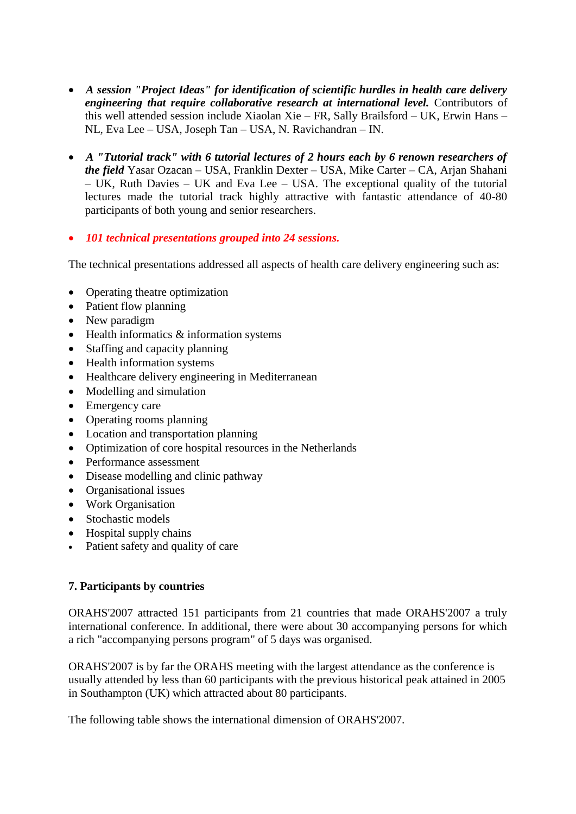- *A session "Project Ideas" for identification of scientific hurdles in health care delivery engineering that require collaborative research at international level.* Contributors of this well attended session include Xiaolan Xie – FR, Sally Brailsford – UK, Erwin Hans – NL, Eva Lee – USA, Joseph Tan – USA, N. Ravichandran – IN.
- *A "Tutorial track" with 6 tutorial lectures of 2 hours each by 6 renown researchers of the field* Yasar Ozacan – USA, Franklin Dexter – USA, Mike Carter – CA, Arjan Shahani – UK, Ruth Davies – UK and Eva Lee – USA. The exceptional quality of the tutorial lectures made the tutorial track highly attractive with fantastic attendance of 40-80 participants of both young and senior researchers.
- *101 technical presentations grouped into 24 sessions.*

The technical presentations addressed all aspects of health care delivery engineering such as:

- Operating theatre optimization
- Patient flow planning
- New paradigm
- $\bullet$  Health informatics  $\&$  information systems
- Staffing and capacity planning
- Health information systems
- Healthcare delivery engineering in Mediterranean
- Modelling and simulation
- Emergency care
- Operating rooms planning
- Location and transportation planning
- Optimization of core hospital resources in the Netherlands
- Performance assessment
- Disease modelling and clinic pathway
- Organisational issues
- Work Organisation
- Stochastic models
- Hospital supply chains
- Patient safety and quality of care

#### **7. Participants by countries**

ORAHS'2007 attracted 151 participants from 21 countries that made ORAHS'2007 a truly international conference. In additional, there were about 30 accompanying persons for which a rich "accompanying persons program" of 5 days was organised.

ORAHS'2007 is by far the ORAHS meeting with the largest attendance as the conference is usually attended by less than 60 participants with the previous historical peak attained in 2005 in Southampton (UK) which attracted about 80 participants.

The following table shows the international dimension of ORAHS'2007.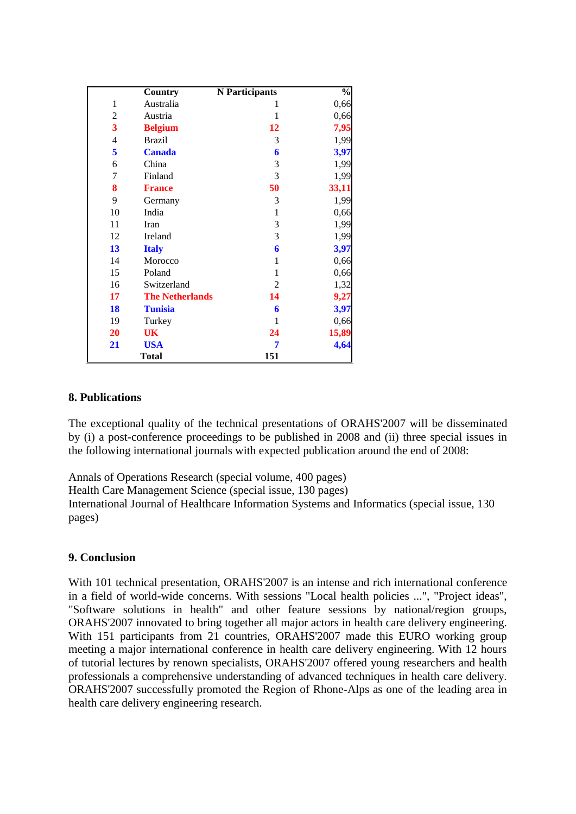|                         | Country                | <b>N</b> Participants | $\frac{0}{0}$ |
|-------------------------|------------------------|-----------------------|---------------|
| 1                       | Australia              | 1                     | 0,66          |
| $\overline{2}$          | Austria                | 1                     | 0,66          |
| $\overline{\mathbf{3}}$ | <b>Belgium</b>         | 12                    | 7,95          |
| $\overline{4}$          | <b>Brazil</b>          | 3                     | 1,99          |
| 5                       | <b>Canada</b>          | 6                     | 3,97          |
| 6                       | China                  | 3                     | 1,99          |
| 7                       | Finland                | 3                     | 1,99          |
| 8                       | <b>France</b>          | 50                    | 33,11         |
| 9                       | Germany                | 3                     | 1,99          |
| 10                      | India                  | 1                     | 0,66          |
| 11                      | Iran                   | 3                     | 1,99          |
| 12                      | Ireland                | 3                     | 1,99          |
| 13                      | <b>Italy</b>           | 6                     | 3,97          |
| 14                      | Morocco                | 1                     | 0,66          |
| 15                      | Poland                 | 1                     | 0,66          |
| 16                      | Switzerland            | 2                     | 1,32          |
| 17                      | <b>The Netherlands</b> | 14                    | 9,27          |
| 18                      | <b>Tunisia</b>         | 6                     | 3,97          |
| 19                      | Turkey                 | 1                     | 0,66          |
| 20                      | <b>UK</b>              | 24                    | 15,89         |
| 21                      | <b>USA</b>             | 7                     | 4,64          |
|                         | <b>Total</b>           | 151                   |               |

#### **8. Publications**

The exceptional quality of the technical presentations of ORAHS'2007 will be disseminated by (i) a post-conference proceedings to be published in 2008 and (ii) three special issues in the following international journals with expected publication around the end of 2008:

Annals of Operations Research (special volume, 400 pages) Health Care Management Science (special issue, 130 pages) International Journal of Healthcare Information Systems and Informatics (special issue, 130 pages)

#### **9. Conclusion**

With 101 technical presentation, ORAHS'2007 is an intense and rich international conference in a field of world-wide concerns. With sessions "Local health policies ...", "Project ideas", "Software solutions in health" and other feature sessions by national/region groups, ORAHS'2007 innovated to bring together all major actors in health care delivery engineering. With 151 participants from 21 countries, ORAHS'2007 made this EURO working group meeting a major international conference in health care delivery engineering. With 12 hours of tutorial lectures by renown specialists, ORAHS'2007 offered young researchers and health professionals a comprehensive understanding of advanced techniques in health care delivery. ORAHS'2007 successfully promoted the Region of Rhone-Alps as one of the leading area in health care delivery engineering research.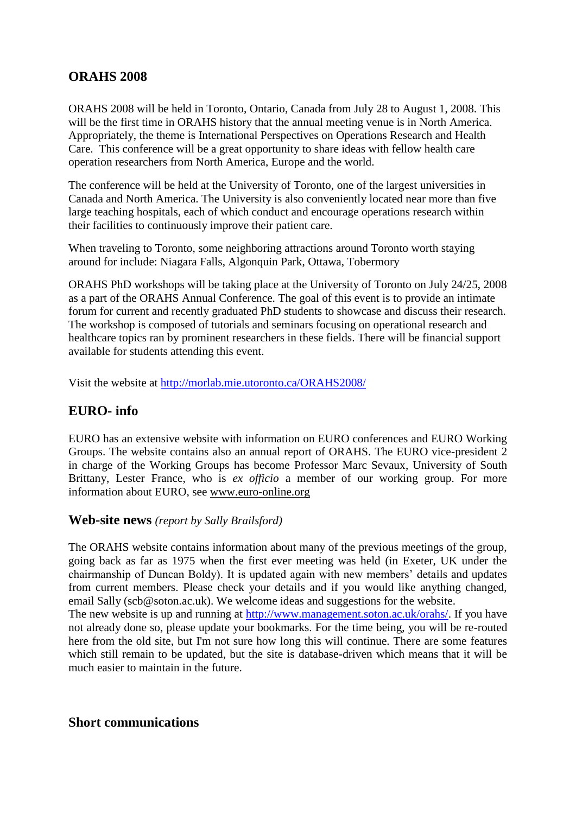# **ORAHS 2008**

ORAHS 2008 will be held in Toronto, Ontario, Canada from July 28 to August 1, 2008. This will be the first time in ORAHS history that the annual meeting venue is in North America. Appropriately, the theme is International Perspectives on Operations Research and Health Care. This conference will be a great opportunity to share ideas with fellow health care operation researchers from North America, Europe and the world.

The conference will be held at the University of Toronto, one of the largest universities in Canada and North America. The University is also conveniently located near more than five large teaching hospitals, each of which conduct and encourage operations research within their facilities to continuously improve their patient care.

When traveling to Toronto, some neighboring attractions around Toronto worth staying around for include: Niagara Falls, Algonquin Park, Ottawa, Tobermory

ORAHS PhD workshops will be taking place at the University of Toronto on July 24/25, 2008 as a part of the ORAHS Annual Conference. The goal of this event is to provide an intimate forum for current and recently graduated PhD students to showcase and discuss their research. The workshop is composed of tutorials and seminars focusing on operational research and healthcare topics ran by prominent researchers in these fields. There will be financial support available for students attending this event.

Visit the website at<http://morlab.mie.utoronto.ca/ORAHS2008/>

# **EURO- info**

EURO has an extensive website with information on EURO conferences and EURO Working Groups. The website contains also an annual report of ORAHS. The EURO vice-president 2 in charge of the Working Groups has become Professor Marc Sevaux, University of South Brittany, Lester France, who is *ex officio* a member of our working group. For more information about EURO, see [www.euro-online.org](http://www.euro-online.org/) 

#### **Web-site news** *(report by Sally Brailsford)*

The ORAHS website contains information about many of the previous meetings of the group, going back as far as 1975 when the first ever meeting was held (in Exeter, UK under the chairmanship of Duncan Boldy). It is updated again with new members' details and updates from current members. Please check your details and if you would like anything changed, email Sally (scb@soton.ac.uk). We welcome ideas and suggestions for the website.

The new website is up and running at [http://www.management.soton.ac.uk/orahs/.](http://www.management.soton.ac.uk/orahs/) If you have not already done so, please update your bookmarks. For the time being, you will be re-routed here from the old site, but I'm not sure how long this will continue. There are some features which still remain to be updated, but the site is database-driven which means that it will be much easier to maintain in the future.

#### **Short communications**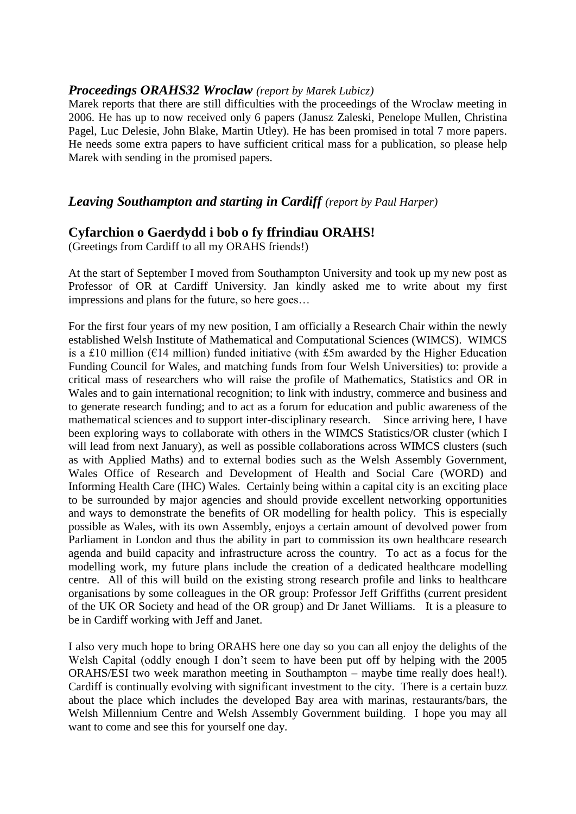#### *Proceedings ORAHS32 Wroclaw (report by Marek Lubicz)*

Marek reports that there are still difficulties with the proceedings of the Wroclaw meeting in 2006. He has up to now received only 6 papers (Janusz Zaleski, Penelope Mullen, Christina Pagel, Luc Delesie, John Blake, Martin Utley). He has been promised in total 7 more papers. He needs some extra papers to have sufficient critical mass for a publication, so please help Marek with sending in the promised papers.

## *Leaving Southampton and starting in Cardiff (report by Paul Harper)*

# **Cyfarchion o Gaerdydd i bob o fy ffrindiau ORAHS!**

(Greetings from Cardiff to all my ORAHS friends!)

At the start of September I moved from Southampton University and took up my new post as Professor of OR at Cardiff University. Jan kindly asked me to write about my first impressions and plans for the future, so here goes…

For the first four years of my new position, I am officially a Research Chair within the newly established Welsh Institute of Mathematical and Computational Sciences (WIMCS). WIMCS is a £10 million ( $E14$  million) funded initiative (with £5m awarded by the Higher Education Funding Council for Wales, and matching funds from four Welsh Universities) to: provide a critical mass of researchers who will raise the profile of Mathematics, Statistics and OR in Wales and to gain international recognition; to link with industry, commerce and business and to generate research funding; and to act as a forum for education and public awareness of the mathematical sciences and to support inter-disciplinary research. Since arriving here, I have been exploring ways to collaborate with others in the WIMCS Statistics/OR cluster (which I will lead from next January), as well as possible collaborations across WIMCS clusters (such as with Applied Maths) and to external bodies such as the Welsh Assembly Government, Wales Office of Research and Development of Health and Social Care (WORD) and Informing Health Care (IHC) Wales. Certainly being within a capital city is an exciting place to be surrounded by major agencies and should provide excellent networking opportunities and ways to demonstrate the benefits of OR modelling for health policy. This is especially possible as Wales, with its own Assembly, enjoys a certain amount of devolved power from Parliament in London and thus the ability in part to commission its own healthcare research agenda and build capacity and infrastructure across the country. To act as a focus for the modelling work, my future plans include the creation of a dedicated healthcare modelling centre. All of this will build on the existing strong research profile and links to healthcare organisations by some colleagues in the OR group: Professor Jeff Griffiths (current president of the UK OR Society and head of the OR group) and Dr Janet Williams. It is a pleasure to be in Cardiff working with Jeff and Janet.

I also very much hope to bring ORAHS here one day so you can all enjoy the delights of the Welsh Capital (oddly enough I don't seem to have been put off by helping with the 2005 ORAHS/ESI two week marathon meeting in Southampton – maybe time really does heal!). Cardiff is continually evolving with significant investment to the city. There is a certain buzz about the place which includes the developed Bay area with marinas, restaurants/bars, the Welsh Millennium Centre and Welsh Assembly Government building. I hope you may all want to come and see this for yourself one day.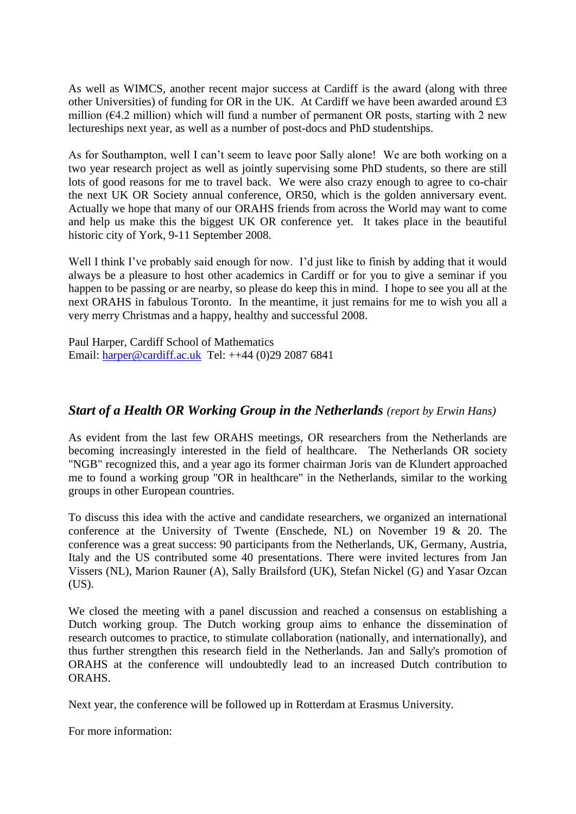As well as WIMCS, another recent major success at Cardiff is the award (along with three other Universities) of funding for OR in the UK. At Cardiff we have been awarded around £3 million ( $64.2$  million) which will fund a number of permanent OR posts, starting with 2 new lectureships next year, as well as a number of post-docs and PhD studentships.

As for Southampton, well I can't seem to leave poor Sally alone! We are both working on a two year research project as well as jointly supervising some PhD students, so there are still lots of good reasons for me to travel back. We were also crazy enough to agree to co-chair the next UK OR Society annual conference, OR50, which is the golden anniversary event. Actually we hope that many of our ORAHS friends from across the World may want to come and help us make this the biggest UK OR conference yet. It takes place in the beautiful historic city of York, 9-11 September 2008.

Well I think I've probably said enough for now. I'd just like to finish by adding that it would always be a pleasure to host other academics in Cardiff or for you to give a seminar if you happen to be passing or are nearby, so please do keep this in mind. I hope to see you all at the next ORAHS in fabulous Toronto. In the meantime, it just remains for me to wish you all a very merry Christmas and a happy, healthy and successful 2008.

Paul Harper, Cardiff School of Mathematics Email: [harper@cardiff.ac.uk](mailto:harper@cardiff.ac.uk) Tel: ++44 (0)29 2087 6841

## *Start of a Health OR Working Group in the Netherlands (report by Erwin Hans)*

As evident from the last few ORAHS meetings, OR researchers from the Netherlands are becoming increasingly interested in the field of healthcare. The Netherlands OR society "NGB" recognized this, and a year ago its former chairman Joris van de Klundert approached me to found a working group "OR in healthcare" in the Netherlands, similar to the working groups in other European countries.

To discuss this idea with the active and candidate researchers, we organized an international conference at the University of Twente (Enschede, NL) on November 19 & 20. The conference was a great success: 90 participants from the Netherlands, UK, Germany, Austria, Italy and the US contributed some 40 presentations. There were invited lectures from Jan Vissers (NL), Marion Rauner (A), Sally Brailsford (UK), Stefan Nickel (G) and Yasar Ozcan (US).

We closed the meeting with a panel discussion and reached a consensus on establishing a Dutch working group. The Dutch working group aims to enhance the dissemination of research outcomes to practice, to stimulate collaboration (nationally, and internationally), and thus further strengthen this research field in the Netherlands. Jan and Sally's promotion of ORAHS at the conference will undoubtedly lead to an increased Dutch contribution to ORAHS.

Next year, the conference will be followed up in Rotterdam at Erasmus University.

For more information: